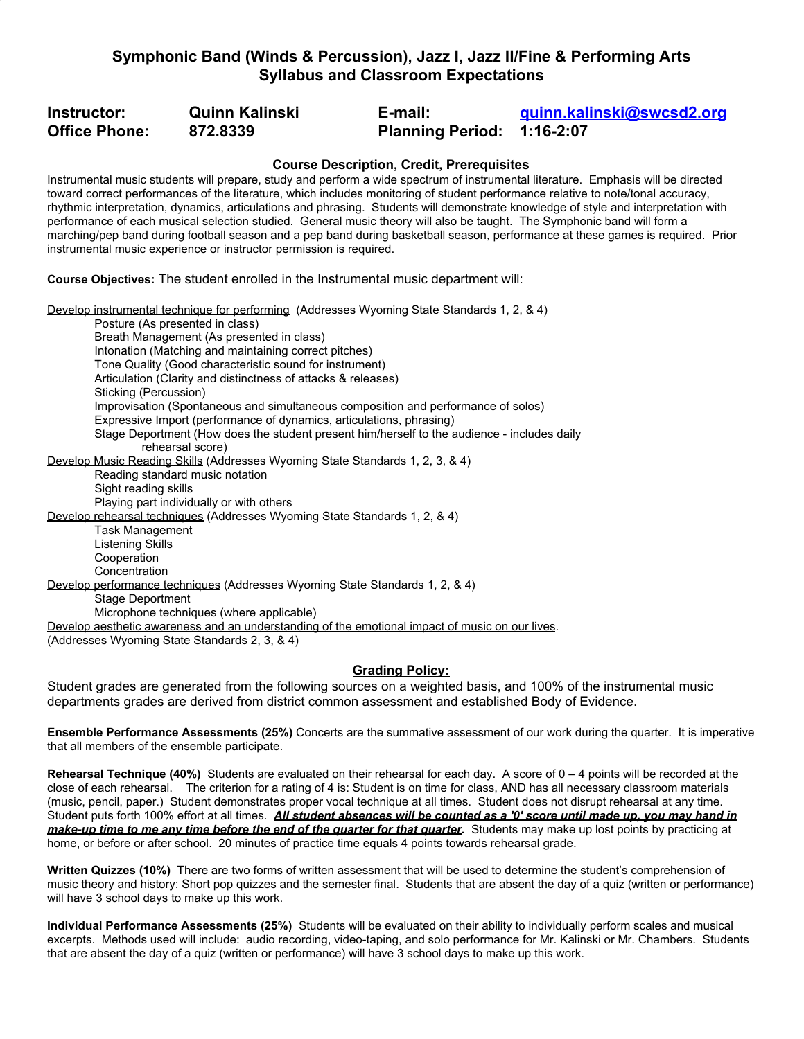# **Symphonic Band (Winds & Percussion), Jazz I, Jazz II/Fine & Performing Arts Syllabus and Classroom Expectations**

| Instructor:          | <b>Quinn Kalinski</b> | E-mail:                    | guinn.kalinski@swcsd2.org |
|----------------------|-----------------------|----------------------------|---------------------------|
| <b>Office Phone:</b> | 872.8339              | Planning Period: 1:16-2:07 |                           |

### **Course Description, Credit, Prerequisites**

Instrumental music students will prepare, study and perform a wide spectrum of instrumental literature. Emphasis will be directed toward correct performances of the literature, which includes monitoring of student performance relative to note/tonal accuracy, rhythmic interpretation, dynamics, articulations and phrasing. Students will demonstrate knowledge of style and interpretation with performance of each musical selection studied. General music theory will also be taught. The Symphonic band will form a marching/pep band during football season and a pep band during basketball season, performance at these games is required. Prior instrumental music experience or instructor permission is required.

**Course Objectives:** The student enrolled in the Instrumental music department will:

Develop instrumental technique for performing (Addresses Wyoming State Standards 1, 2, & 4) Posture (As presented in class) Breath Management (As presented in class) Intonation (Matching and maintaining correct pitches) Tone Quality (Good characteristic sound for instrument) Articulation (Clarity and distinctness of attacks & releases) Sticking (Percussion) Improvisation (Spontaneous and simultaneous composition and performance of solos) Expressive Import (performance of dynamics, articulations, phrasing) Stage Deportment (How does the student present him/herself to the audience - includes daily rehearsal score) Develop Music Reading Skills (Addresses Wyoming State Standards 1, 2, 3, & 4) Reading standard music notation Sight reading skills Playing part individually or with others Develop rehearsal techniques (Addresses Wyoming State Standards 1, 2, & 4) Task Management Listening Skills Cooperation Concentration Develop performance techniques (Addresses Wyoming State Standards 1, 2, & 4) Stage Deportment Microphone techniques (where applicable) Develop aesthetic awareness and an understanding of the emotional impact of music on our lives. (Addresses Wyoming State Standards 2, 3, & 4)

### **Grading Policy:**

Student grades are generated from the following sources on a weighted basis, and 100% of the instrumental music departments grades are derived from district common assessment and established Body of Evidence.

**Ensemble Performance Assessments (25%)** Concerts are the summative assessment of our work during the quarter. It is imperative that all members of the ensemble participate.

**Rehearsal Technique (40%)** Students are evaluated on their rehearsal for each day. A score of 0 – 4 points will be recorded at the close of each rehearsal. The criterion for a rating of 4 is: Student is on time for class, AND has all necessary classroom materials (music, pencil, paper.) Student demonstrates proper vocal technique at all times. Student does not disrupt rehearsal at any time. Student puts forth 100% effort at all times. *All student absences will be counted as a '0' score until made up, you may hand in make-up time to me any time before the end of the quarter for that quarter.* Students may make up lost points by practicing at home, or before or after school. 20 minutes of practice time equals 4 points towards rehearsal grade.

**Written Quizzes (10%)** There are two forms of written assessment that will be used to determine the student's comprehension of music theory and history: Short pop quizzes and the semester final. Students that are absent the day of a quiz (written or performance) will have 3 school days to make up this work.

**Individual Performance Assessments (25%)** Students will be evaluated on their ability to individually perform scales and musical excerpts. Methods used will include: audio recording, video-taping, and solo performance for Mr. Kalinski or Mr. Chambers. Students that are absent the day of a quiz (written or performance) will have 3 school days to make up this work.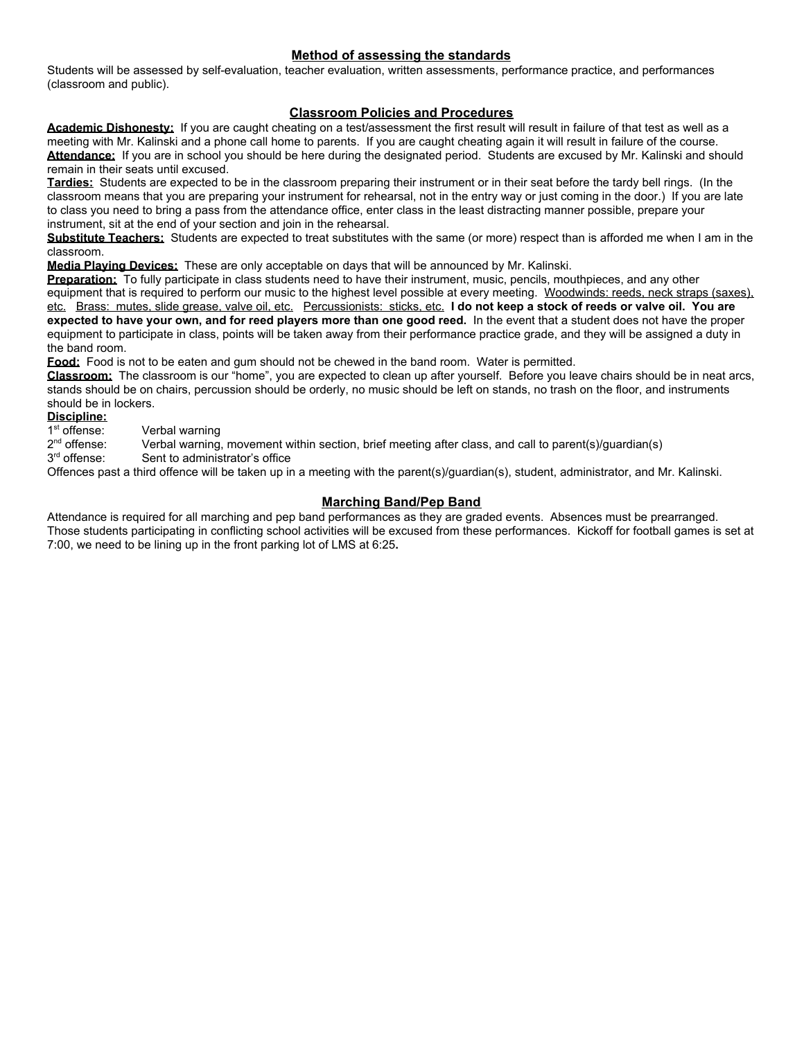### **Method of assessing the standards**

Students will be assessed by self-evaluation, teacher evaluation, written assessments, performance practice, and performances (classroom and public).

# **Classroom Policies and Procedures**

Academic Dishonesty: If you are caught cheating on a test/assessment the first result will result in failure of that test as well as a meeting with Mr. Kalinski and a phone call home to parents. If you are caught cheating again it will result in failure of the course. **Attendance:** If you are in school you should be here during the designated period. Students are excused by Mr. Kalinski and should remain in their seats until excused.

**Tardies:** Students are expected to be in the classroom preparing their instrument or in their seat before the tardy bell rings. (In the classroom means that you are preparing your instrument for rehearsal, not in the entry way or just coming in the door.) If you are late to class you need to bring a pass from the attendance office, enter class in the least distracting manner possible, prepare your instrument, sit at the end of your section and join in the rehearsal.

**Substitute Teachers:** Students are expected to treat substitutes with the same (or more) respect than is afforded me when I am in the classroom.

**Media Playing Devices:** These are only acceptable on days that will be announced by Mr. Kalinski.

**Preparation:** To fully participate in class students need to have their instrument, music, pencils, mouthpieces, and any other equipment that is required to perform our music to the highest level possible at every meeting. Woodwinds: reeds, neck straps (saxes), etc. Brass: mutes, slide grease, valve oil, etc. Percussionists: sticks, etc. **I do not keep a stock of reeds or valve oil. You are expected to have your own, and for reed players more than one good reed.** In the event that a student does not have the proper equipment to participate in class, points will be taken away from their performance practice grade, and they will be assigned a duty in the band room.

**Food:** Food is not to be eaten and gum should not be chewed in the band room. Water is permitted.

**Classroom:** The classroom is our "home", you are expected to clean up after yourself. Before you leave chairs should be in neat arcs, stands should be on chairs, percussion should be orderly, no music should be left on stands, no trash on the floor, and instruments should be in lockers.

#### **Discipline:**

1 st Verbal warning

 $2<sup>nd</sup>$ Verbal warning, movement within section, brief meeting after class, and call to parent(s)/guardian(s)

3 rd Sent to administrator's office

Offences past a third offence will be taken up in a meeting with the parent(s)/guardian(s), student, administrator, and Mr. Kalinski.

# **Marching Band/Pep Band**

Attendance is required for all marching and pep band performances as they are graded events. Absences must be prearranged. Those students participating in conflicting school activities will be excused from these performances. Kickoff for football games is set at 7:00, we need to be lining up in the front parking lot of LMS at 6:25**.**